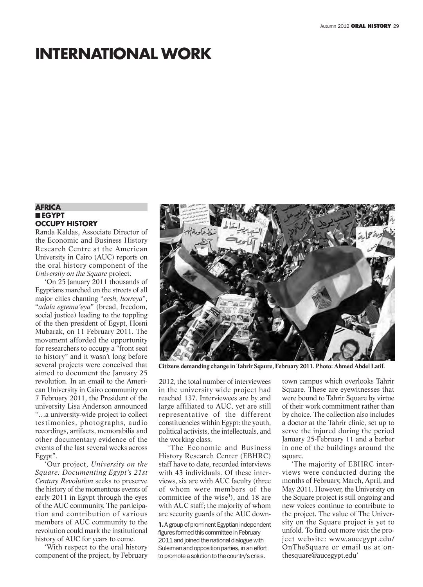# **INTERNATIONAL WORK**

#### **AFRICA** n **EGYPT OCCUPY HISTORY**

Randa Kaldas, Associate Director of the Economic and Business History Research Centre at the American University in Cairo (AUC) reports on the oral history component of the *University on the Square* project.

'On 25 January 2011 thousands of Egyptians marched on the streets of all major cities chanting "*eesh, horreya*", "*adala egtema'eya*" (bread, freedom, social justice) leading to the toppling of the then president of Egypt, Hosni Mubarak, on 11 February 2011. The movement afforded the opportunity for researchers to occupy a "front seat to history" and it wasn't long before several projects were conceived that aimed to document the January 25 revolution. In an email to the American University in Cairo community on 7 February 2011, the President of the university Lisa Anderson announced "…a university-wide project to collect testimonies, photographs, audio recordings, artifacts, memorabilia and other documentary evidence of the events of the last several weeks across Egypt".

'Our project, *University on the Square: Documenting Egypt's 21st Century Revolution* seeks to preserve the history of the momentous events of early 2011 in Egypt through the eyes of the AUC community. The participation and contribution of various members of AUC community to the revolution could mark the institutional history of AUC for years to come.

'With respect to the oral history component of the project, by February



**Citizens demanding change in Tahrir Sqaure, February 2011. Photo: Ahmed Abdel Latif.**

2012, the total number of interviewees in the university wide project had reached 137. Interviewees are by and large affiliated to AUC, yet are still representative of the different constituencies within Egypt: the youth, political activists, the intellectuals, and the working class.

'The Economic and Business History Research Center (EBHRC) staff have to date, recorded interviews with 43 individuals. Of these interviews, six are with AUC faculty (three of whom were members of the committee of the wise**<sup>1</sup>** ), and 18 are with AUC staff; the majority of whom are security guards of the AUC down-

**1.**A group of prominent Egyptian independent figures formed this committee in February 2011 and joined the national dialogue with Suleiman and opposition parties, in an effort to promote a solution to the country's crisis.

town campus which overlooks Tahrir Square. These are eyewitnesses that were bound to Tahrir Square by virtue of their work commitment rather than by choice. The collection also includes a doctor at the Tahrir clinic, set up to serve the injured during the period January 25-February 11 and a barber in one of the buildings around the square.

'The majority of EBHRC interviews were conducted during the months of February, March, April, and May 2011. However, the University on the Square project is still ongoing and new voices continue to contribute to the project. The value of The University on the Square project is yet to unfold. To find out more visit the project website: www.aucegypt.edu/ OnTheSquare or email us at onthesquare@aucegypt.edu'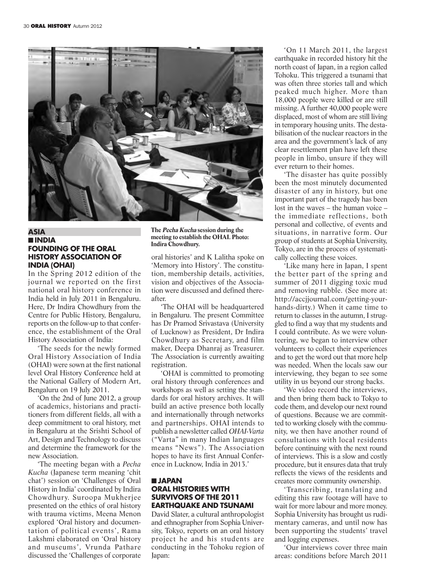

#### **ASIA** n **INDIA FOUNDING OF THE ORAL HISTORY ASSOCIATION OF INDIA (OHAI)**

In the Spring 2012 edition of the journal we reported on the first national oral history conference in India held in July 2011 in Bengaluru. Here, Dr Indira Chowdhury from the Centre for Public History, Bengaluru, reports on the follow-up to that conference, the establishment of the Oral History Association of India:

'The seeds for the newly formed Oral History Association of India (OHAI) were sown at the first national level Oral History Conference held at the National Gallery of Modern Art, Bengaluru on 19 July 2011.

'On the 2nd of June 2012, a group of academics, historians and practitioners from different fields, all with a deep commitment to oral history, met in Bengaluru at the Srishti School of Art, Design and Technology to discuss and determine the framework for the new Association.

'The meeting began with a *Pecha Kucha* (Japanese term meaning 'chit chat') session on 'Challenges of Oral History in India' coordinated by Indira Chowdhury. Suroopa Mukherjee presented on the ethics of oral history with trauma victims, Meena Menon explored 'Oral history and documentation of political events', Rama Lakshmi elaborated on 'Oral history and museums', Vrunda Pathare discussed the 'Challenges of corporate **The Pecha Kucha session during the meeting to establish the OHAI. Photo: Indira Chowdhury.**

oral histories' and K Lalitha spoke on 'Memory into History'. The constitution, membership details, activities, vision and objectives of the Association were discussed and defined thereafter.

'The OHAI will be headquartered in Bengaluru. The present Committee has Dr Pramod Srivastava (University of Lucknow) as President, Dr Indira Chowdhury as Secretary, and film maker, Deepa Dhanraj as Treasurer. The Association is currently awaiting registration.

'OHAI is committed to promoting oral history through conferences and workshops as well as setting the standards for oral history archives. It will build an active presence both locally and internationally through networks and partnerships. OHAI intends to publish a newsletter called *OHAI-Varta* ("Varta" in many Indian languages means "News"). The Association hopes to have its first Annual Conference in Lucknow, India in 2013.'

#### n **JAPAN ORAL HISTORIES WITH SURVIVORS OF THE 2011 EARTHQUAKE AND TSUNAMI**

David Slater, a cultural anthropologist and ethnographer from Sophia University, Tokyo, reports on an oral history project he and his students are conducting in the Tohoku region of Japan:

'On 11 March 2011, the largest earthquake in recorded history hit the north coast of Japan, in a region called Tohoku. This triggered a tsunami that was often three stories tall and which peaked much higher. More than 18,000 people were killed or are still missing. A further 40,000 people were displaced, most of whom are still living in temporary housing units. The destabilisation of the nuclear reactors in the area and the government's lack of any clear resettlement plan have left these people in limbo, unsure if they will ever return to their homes.

'The disaster has quite possibly been the most minutely documented disaster of any in history, but one important part of the tragedy has been lost in the waves – the human voice – the immediate reflections, both personal and collective, of events and situations, in narrative form. Our group of students at Sophia University, Tokyo, are in the process of systematically collecting these voices.

'Like many here in Japan, I spent the better part of the spring and summer of 2011 digging toxic mud and removing rubble. (See more at: http://accjjournal.com/getting-yourhands-dirty.) When it came time to return to classes in the autumn, I struggled to find a way that my students and I could contribute. As we were volunteering, we began to interview other volunteers to collect their experiences and to get the word out that more help was needed. When the locals saw our interviewing, they began to see some utility in us beyond our strong backs.

'We video record the interviews, and then bring them back to Tokyo to code them, and develop our next round of questions. Because we are committed to working closely with the community, we then have another round of consultations with local residents before continuing with the next round of interviews. This is a slow and costly procedure, but it ensures data that truly reflects the views of the residents and creates more community ownership.

'Transcribing, translating and editing this raw footage will have to wait for more labour and more money. Sophia University has brought us rudimentary cameras, and until now has been supporting the students' travel and logging expenses.

'Our interviews cover three main areas: conditions before March 2011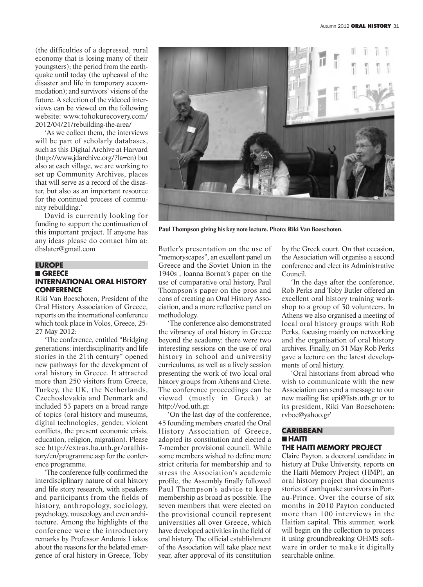(the difficulties of a depressed, rural economy that is losing many of their youngsters); the period from the earthquake until today (the upheaval of the disaster and life in temporary accommodation); and survivors' visions of the future. A selection of the videoed interviews can be viewed on the following website: www.tohokurecovery.com/ 2012/04/21/rebuilding-the-area/

'As we collect them, the interviews will be part of scholarly databases, such as this Digital Archive at Harvard (http://www.jdarchive.org/?la=en) but also at each village, we are working to set up Community Archives, places that will serve as a record of the disaster, but also as an important resource for the continued process of community rebuilding.'

David is currently looking for funding to support the continuation of this important project. If anyone has any ideas please do contact him at: dhslater@gmail.com

#### **EUROPE** n **GREECE INTERNATIONAL ORAL HISTORY CONFERENCE**

Riki Van Boeschoten, President of the Oral History Association of Greece, reports on the international conference which took place in Volos, Greece, 25- 27 May 2012:

'The conference, entitled "Bridging generations: interdisciplinarity and life stories in the 21th century" opened new pathways for the development of oral history in Greece. It attracted more than 250 visitors from Greece, Turkey, the UK, the Netherlands, Czechoslovakia and Denmark and included 53 papers on a broad range of topics (oral history and museums, digital technologies, gender, violent conflicts, the present economic crisis, education, religion, migration). Please see http://extras.ha.uth.gr/oralhistory/en/programme.asp for the conference programme.

'The conference fully confirmed the interdisciplinary nature of oral history and life story research, with speakers and participants from the fields of history, anthropology, sociology, psychology, museology and even architecture. Among the highlights of the conference were the introductory remarks by Professor Andonis Liakos about the reasons for the belated emergence of oral history in Greece, Toby



**Paul Thompson giving his key note lecture. Photo: Riki Van Boeschoten.**

Butler's presentation on the use of "memoryscapes", an excellent panel on Greece and the Soviet Union in the 1940s , Joanna Bornat's paper on the use of comparative oral history, Paul Thompson's paper on the pros and cons of creating an Oral History Association, and a more reflective panel on methodology.

'The conference also demonstrated the vibrancy of oral history in Greece beyond the academy: there were two interesting sessions on the use of oral history in school and university curriculums, as well as a lively session presenting the work of two local oral history groups from Athens and Crete. The conference proceedings can be viewed (mostly in Greek) at http://vod.uth.gr.

'On the last day of the conference, 45 founding members created the Oral History Association of Greece, adopted its constitution and elected a 7-member provisional council. While some members wished to define more strict criteria for membership and to stress the Association's academic profile, the Assembly finally followed Paul Thompson's advice to keep membership as broad as possible. The seven members that were elected on the provisional council represent universities all over Greece, which have developed activities in the field of oral history. The official establishment of the Association will take place next year, after approval of its constitution

by the Greek court. On that occasion, the Association will organise a second conference and elect its Administrative Council.

'In the days after the conference, Rob Perks and Toby Butler offered an excellent oral history training workshop to a group of 30 volunteers. In Athens we also organised a meeting of local oral history groups with Rob Perks, focusing mainly on networking and the organisation of oral history archives. Finally, on 31 May Rob Perks gave a lecture on the latest developments of oral history.

'Oral historians from abroad who wish to communicate with the new Association can send a message to our new mailing list epi@lists.uth.gr or to its president, Riki Van Boeschoten: rvboe@yahoo.gr'

#### **CARIBBEAN** n **HAITI THE HAITI MEMORY PROJECT**

Claire Payton, a doctoral candidate in history at Duke University, reports on the Haiti Memory Project (HMP), an oral history project that documents stories of earthquake survivors in Portau-Prince. Over the course of six months in 2010 Payton conducted more than 100 interviews in the Haitian capital. This summer, work will begin on the collection to process it using groundbreaking OHMS software in order to make it digitally searchable online.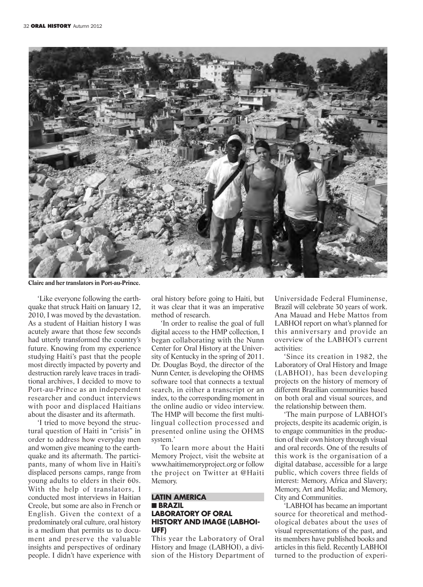

**Claire and her translators in Port-au-Prince.**

'Like everyone following the earthquake that struck Haiti on January 12, 2010, I was moved by the devastation. As a student of Haitian history I was acutely aware that those few seconds had utterly transformed the country's future. Knowing from my experience studying Haiti's past that the people most directly impacted by poverty and destruction rarely leave traces in traditional archives, I decided to move to Port-au-Prince as an independent researcher and conduct interviews with poor and displaced Haitians about the disaster and its aftermath.

'I tried to move beyond the structural question of Haiti in "crisis" in order to address how everyday men and women give meaning to the earthquake and its aftermath. The participants, many of whom live in Haiti's displaced persons camps, range from young adults to elders in their 60s. With the help of translators, I conducted most interviews in Haitian Creole, but some are also in French or English. Given the context of a predominately oral culture, oral history is a medium that permits us to document and preserve the valuable insights and perspectives of ordinary people. I didn't have experience with oral history before going to Haiti, but it was clear that it was an imperative method of research.

'In order to realise the goal of full digital access to the HMP collection, I began collaborating with the Nunn Center for Oral History at the University of Kentucky in the spring of 2011. Dr. Douglas Boyd, the director of the Nunn Center, is developing the OHMS software tool that connects a textual search, in either a transcript or an index, to the corresponding moment in the online audio or video interview. The HMP will become the first multilingual collection processed and presented online using the OHMS system.'

To learn more about the Haiti Memory Project, visit the website at www.haitimemoryproject.org or follow the project on Twitter at @Haiti Memory.

#### **LATIN AMERICA** n **BRAZIL LABORATORY OF ORAL HISTORY AND IMAGE (LABHOI-UFF)**

This year the Laboratory of Oral History and Image (LABHOI), a division of the History Department of

Universidade Federal Fluminense, Brazil will celebrate 30 years of work. Ana Mauad and Hebe Mattos from LABHOI report on what's planned for this anniversary and provide an overview of the LABHOI's current activities:

'Since its creation in 1982, the Laboratory of Oral History and Image (LABHOI), has been developing projects on the history of memory of different Brazilian communities based on both oral and visual sources, and the relationship between them.

'The main purpose of LABHOI's projects, despite its academic origin, is to engage communities in the production of their own history through visual and oral records. One of the results of this work is the organisation of a digital database, accessible for a large public, which covers three fields of interest: Memory, Africa and Slavery; Memory, Art and Media; and Memory, City and Communities.

'LABHOI has became an important source for theoretical and methodological debates about the uses of visual representations of the past, and its members have published books and articles in this field. Recently LABHOI turned to the production of experi-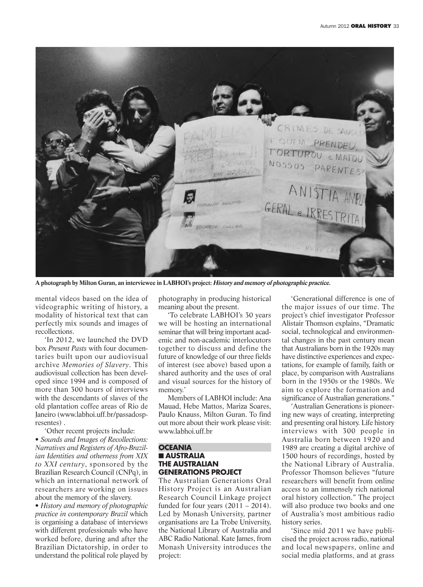

**A photograph by Milton Guran, an interviewee in LABHOI's project: History and memory of photographic practice.**

mental videos based on the idea of videographic writing of history, a modality of historical text that can perfectly mix sounds and images of recollections.

'In 2012, we launched the DVD box *Present Pasts* with four documentaries built upon our audiovisual archive *Memories of Slavery*. This audiovisual collection has been developed since 1994 and is composed of more than 300 hours of interviews with the descendants of slaves of the old plantation coffee areas of Rio de Janeiro (www.labhoi.uff.br/passadospresentes) .

'Other recent projects include: • *Sounds and Images of Recollections: Narratives and Registers of Afro-Brazilian Identities and otherness from XIX to XXI century*, sponsored by the Brazilian Research Council (CNPq), in which an international network of researchers are working on issues about the memory of the slavery.

• *History and memory of photographic practice in contemporary Brazil* which is organising a database of interviews with different professionals who have worked before, during and after the Brazilian Dictatorship, in order to understand the political role played by photography in producing historical meaning about the present.

'To celebrate LABHOI's 30 years we will be hosting an international seminar that will bring important academic and non-academic interlocutors together to discuss and define the future of knowledge of our three fields of interest (see above) based upon a shared authority and the uses of oral and visual sources for the history of memory.'

Members of LABHOI include: Ana Mauad, Hebe Mattos, Mariza Soares, Paulo Knauss, Milton Guran. To find out more about their work please visit: www.labhoi.uff.br

#### **OCEANIA n** AUSTRALIA **THE AUSTRALIAN GENERATIONS PROJECT**

The Australian Generations Oral History Project is an Australian Research Council Linkage project funded for four years  $(2011 – 2014)$ . Led by Monash University, partner organisations are La Trobe University, the National Library of Australia and ABC Radio National. Kate James, from Monash University introduces the project:

'Generational difference is one of the major issues of our time. The project's chief investigator Professor Alistair Thomson explains, "Dramatic social, technological and environmental changes in the past century mean that Australians born in the 1920s may have distinctive experiences and expectations, for example of family, faith or place, by comparison with Australians born in the 1950s or the 1980s. We aim to explore the formation and significance of Australian generations."

'Australian Generations is pioneering new ways of creating, interpreting and presenting oral history. Life history interviews with 300 people in Australia born between 1920 and 1989 are creating a digital archive of 1500 hours of recordings, hosted by the National Library of Australia. Professor Thomson believes "future researchers will benefit from online access to an immensely rich national oral history collection." The project will also produce two books and one of Australia's most ambitious radio history series.

'Since mid 2011 we have publicised the project across radio, national and local newspapers, online and social media platforms, and at grass